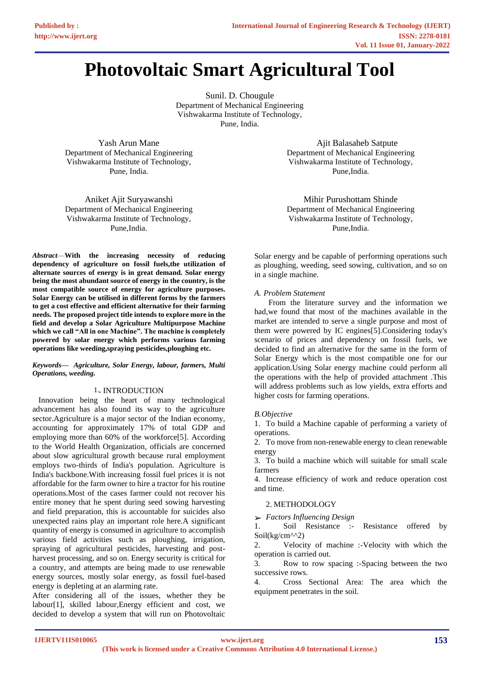# **Photovoltaic Smart Agricultural Tool**

Sunil. D. Chougule Department of Mechanical Engineering Vishwakarma Institute of Technology, Pune, India.

Yash Arun Mane Department of Mechanical Engineering Vishwakarma Institute of Technology, Pune, India.

Aniket Ajit Suryawanshi Department of Mechanical Engineering Vishwakarma Institute of Technology, Pune,India.

*Abstract*—**With the increasing necessity of reducing dependency of agriculture on fossil fuels,the utilization of alternate sources of energy is in great demand. Solar energy being the most abundant source of energy in the country, is the most compatible source of energy for agriculture purposes. Solar Energy can be utilised in different forms by the farmers to get a cost effective and efficient alternative for their farming needs. The proposed project title intends to explore more in the field and develop a Solar Agriculture Multipurpose Machine which we call "All in one Machine". The machine is completely powered by solar energy which performs various farming operations like weeding,spraying pesticides,ploughing etc.**

### *Keywords— Agriculture, Solar Energy, labour, farmers, Multi Operations, weeding.*

# 1.*.* INTRODUCTION

 Innovation being the heart of many technological advancement has also found its way to the agriculture sector.Agriculture is a major sector of the Indian economy, accounting for approximately 17% of total GDP and employing more than 60% of the workforce[5]. According to the World Health Organization, officials are concerned about slow agricultural growth because rural employment employs two-thirds of India's population. Agriculture is India's backbone.With increasing fossil fuel prices it is not affordable for the farm owner to hire a tractor for his routine operations.Most of the cases farmer could not recover his entire money that he spent during seed sowing harvesting and field preparation, this is accountable for suicides also unexpected rains play an important role here.A significant quantity of energy is consumed in agriculture to accomplish various field activities such as ploughing, irrigation, spraying of agricultural pesticides, harvesting and postharvest processing, and so on. Energy security is critical for a country, and attempts are being made to use renewable energy sources, mostly solar energy, as fossil fuel-based energy is depleting at an alarming rate.

After considering all of the issues, whether they be labour[1], skilled labour,Energy efficient and cost, we decided to develop a system that will run on Photovoltaic

 Ajit Balasaheb Satpute Department of Mechanical Engineering Vishwakarma Institute of Technology, Pune,India.

Mihir Purushottam Shinde Department of Mechanical Engineering Vishwakarma Institute of Technology, Pune,India.

Solar energy and be capable of performing operations such as ploughing, weeding, seed sowing, cultivation, and so on in a single machine.

## *A. Problem Statement*

 From the literature survey and the information we had,we found that most of the machines available in the market are intended to serve a single purpose and most of them were powered by IC engines[5].Considering today's scenario of prices and dependency on fossil fuels, we decided to find an alternative for the same in the form of Solar Energy which is the most compatible one for our application.Using Solar energy machine could perform all the operations with the help of provided attachment .This will address problems such as low yields, extra efforts and higher costs for farming operations.

# *B.Objective*

1. To build a Machine capable of performing a variety of operations.

2. To move from non-renewable energy to clean renewable energy

3. To build a machine which will suitable for small scale farmers

4. Increase efficiency of work and reduce operation cost and time.

# 2. METHODOLOGY

➢ *Factors Influencing Design* 

1. Soil Resistance :- Resistance offered by Soil(kg/cm^^2)

2. Velocity of machine :-Velocity with which the operation is carried out.

3. Row to row spacing :-Spacing between the two successive rows.

4. Cross Sectional Area: The area which the equipment penetrates in the soil.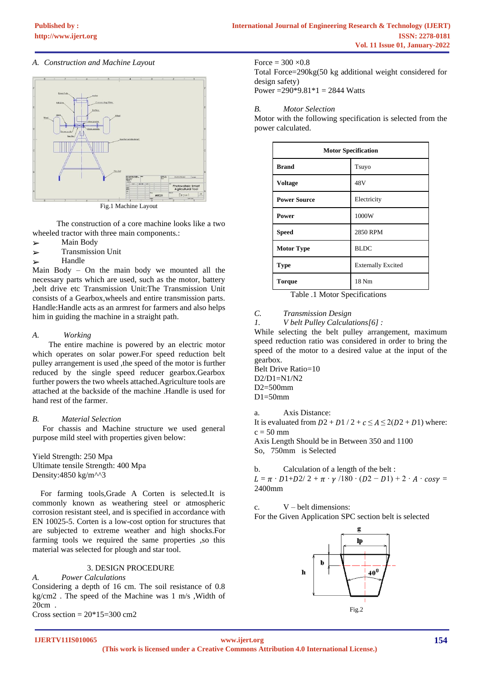## *A. Construction and Machine Layout*



 The construction of a core machine looks like a two wheeled tractor with three main components.:

- ➢ Main Body
- ➢ Transmission Unit
- ➢ Handle

Main Body – On the main body we mounted all the necessary parts which are used, such as the motor, battery ,belt drive etc Transmission Unit:The Transmission Unit consists of a Gearbox,wheels and entire transmission parts. Handle:Handle acts as an armrest for farmers and also helps him in guiding the machine in a straight path.

### *A. Working*

 The entire machine is powered by an electric motor which operates on solar power.For speed reduction belt pulley arrangement is used ,the speed of the motor is further reduced by the single speed reducer gearbox.Gearbox further powers the two wheels attached.Agriculture tools are attached at the backside of the machine .Handle is used for hand rest of the farmer.

## *B. Material Selection*

 For chassis and Machine structure we used general purpose mild steel with properties given below:

Yield Strength: 250 Mpa Ultimate tensile Strength: 400 Mpa Density:4850 kg/m^^3

 For farming tools,Grade A Corten is selected.It is commonly known as weathering steel or atmospheric corrosion resistant steel, and is specified in accordance with EN 10025-5. Corten is a low-cost option for structures that are subjected to extreme weather and high shocks.For farming tools we required the same properties ,so this material was selected for plough and star tool.

## 3. DESIGN PROCEDURE

*A. Power Calculations*  Considering a depth of 16 cm. The soil resistance of 0.8 kg/cm2 . The speed of the Machine was 1 m/s ,Width of 20cm .

Cross section =  $20*15=300$  cm<sup>2</sup>

Force  $= 300 \times 0.8$ Total Force=290kg(50 kg additional weight considered for design safety)

Power =  $290*9.81*1 = 2844$  Watts

### *B. Motor Selection*

Motor with the following specification is selected from the power calculated.

| <b>Motor Specification</b> |                           |  |
|----------------------------|---------------------------|--|
| <b>Brand</b>               | Tsuyo                     |  |
| <b>Voltage</b>             | 48V                       |  |
| <b>Power Source</b>        | Electricity               |  |
| Power                      | 1000W                     |  |
| <b>Speed</b>               | 2850 RPM                  |  |
| <b>Motor Type</b>          | <b>BLDC</b>               |  |
| <b>Type</b>                | <b>Externally Excited</b> |  |
| <b>Torque</b>              | 18 Nm                     |  |

Table .1 Motor Specifications

*C. Transmission Design* 

*1. V belt Pulley Calculations[6] :*

While selecting the belt pulley arrangement, maximum speed reduction ratio was considered in order to bring the speed of the motor to a desired value at the input of the gearbox.

Belt Drive Ratio=10  $D2/D1=N1/N2$ D2=500mm  $D1=50$ mm

a. Axis Distance:

It is evaluated from  $D2 + D1/2 + c \le A \le 2(D2 + D1)$  where:  $c = 50$  mm

Axis Length Should be in Between 350 and 1100 So, 750mm is Selected

b. Calculation of a length of the belt :  $L = \pi \cdot D1 + D2/2 + \pi \cdot \gamma /180 \cdot (D2 - D1) + 2 \cdot A \cdot cos\gamma =$ 2400mm

c. V – belt dimensions:

For the Given Application SPC section belt is selected

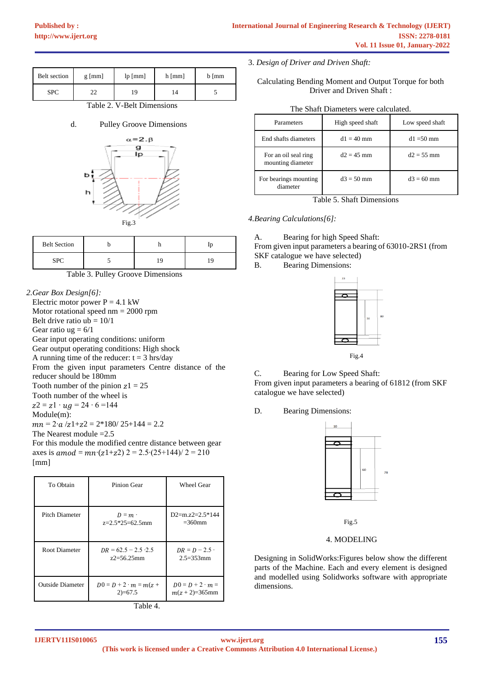| Belt section | $g$ [mm] | lp[mm] | $h$ [mm] | $b \mid mm$ |
|--------------|----------|--------|----------|-------------|
| <b>SPC</b>   | ົ<br>--  | 19     | 14       |             |

Table 2. V-Belt Dimensions

d. Pulley Groove Dimensions



| <b>Belt Section</b> |  |  |
|---------------------|--|--|
|                     |  |  |

Table 3. Pulley Groove Dimensions

*2.Gear Box Design[6]:* Electric motor power  $P = 4.1$  kW Motor rotational speed nm = 2000 rpm Belt drive ratio  $ub = 10/1$ Gear ratio  $ug = 6/1$ Gear input operating conditions: uniform Gear output operating conditions: High shock A running time of the reducer:  $t = 3$  hrs/day From the given input parameters Centre distance of the reducer should be 180mm Tooth number of the pinion  $z_1 = 25$ Tooth number of the wheel is  $z^2 = z^1 \cdot ug = 24 \cdot 6 = 144$ Module(m):  $mn = 2 \cdot a /z1+z2 = 2*180/25+144 = 2.2$ The Nearest module  $=2.5$ For this module the modified centre distance between gear axes is  $amod = mn \cdot (z1+z2)$  2 = 2.5 $\cdot (25+144)/2 = 210$ 

To Obtain Pinion Gear Wheel Gear Pitch Diameter  $D = m$ . z=2.5\*25=62.5mm D2=m.z2=2.5\*144  $=360$ mm Root Diameter  $DR = 62.5 - 2.5 \cdot 2.5$ z2=56.25mm  $DR = D - 2.5 \cdot$ 2.5=353mm Outside Diameter  $D0 = D + 2 \cdot m = m(z +$ 2)=67.5  $D0 = D + 2 \cdot m =$  $m(z + 2)=365$ mm



# 3. *Design of Driver and Driven Shaft:*

Calculating Bending Moment and Output Torque for both Driver and Driven Shaft :

| The Shaft Diameters were calculated. |  |
|--------------------------------------|--|
|--------------------------------------|--|

| Parameters                                | High speed shaft | Low speed shaft |
|-------------------------------------------|------------------|-----------------|
| End shafts diameters                      | $d1 = 40$ mm     | $d1 = 50$ mm    |
| For an oil seal ring<br>mounting diameter | $d2 = 45$ mm     | $d2 = 55$ mm    |
| For bearings mounting<br>diameter         | $d3 = 50$ mm     | $d3 = 60$ mm    |

Table 5. Shaft Dimensions

*4.Bearing Calculations[6]:*

A. Bearing for high Speed Shaft:

From given input parameters a bearing of 63010-2RS1 (from SKF catalogue we have selected)

B. Bearing Dimensions:





C. Bearing for Low Speed Shaft:

From given input parameters a bearing of 61812 (from SKF catalogue we have selected)

D. Bearing Dimensions:



Fig.5

## 4. MODELING

Designing in SolidWorks:Figures below show the different parts of the Machine. Each and every element is designed and modelled using Solidworks software with appropriate dimensions.

[mm]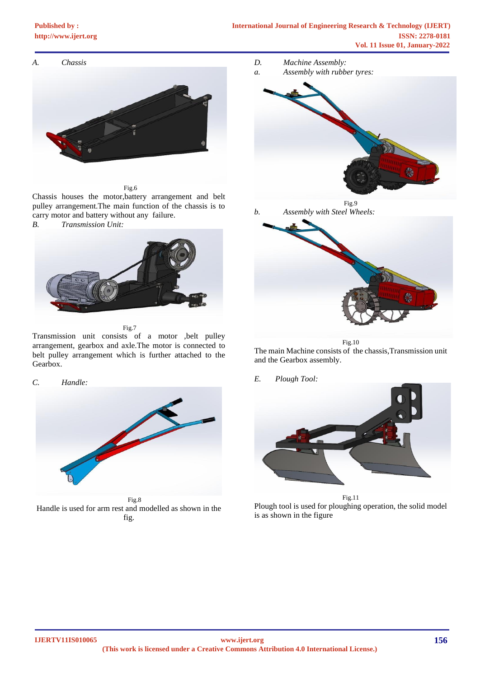# **[Published by :](www.ijert.org)**



Fig.6

Chassis houses the motor,battery arrangement and belt pulley arrangement.The main function of the chassis is to carry motor and battery without any failure.

*B. Transmission Unit:*



Fig.7

Transmission unit consists of a motor ,belt pulley arrangement, gearbox and axle.The motor is connected to belt pulley arrangement which is further attached to the Gearbox.

*C. Handle:*



 Fig.8 Handle is used for arm rest and modelled as shown in the fig.

- *D. Machine Assembly:*
- *a. Assembly with rubber tyres:*



Fig.9 *b. Assembly with Steel Wheels:*



Fig.10 The main Machine consists of the chassis,Transmission unit and the Gearbox assembly.

*E. Plough Tool:*



Fig.11 Plough tool is used for ploughing operation, the solid model is as shown in the figure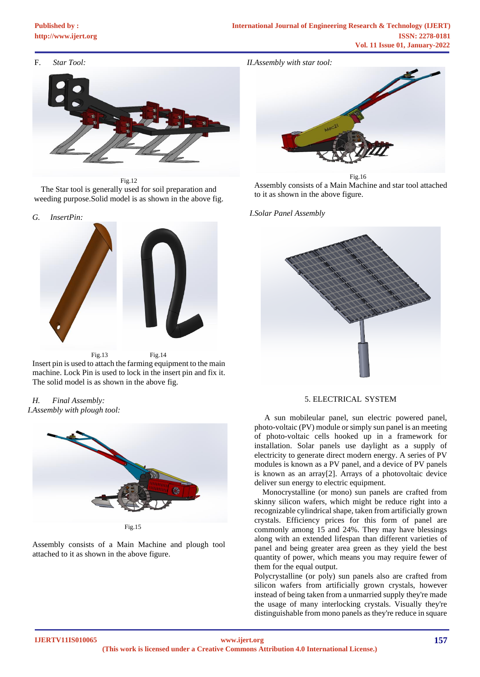# **[Published by :](www.ijert.org)**

F. *Star Tool:*

*II.Assembly with star tool:*



Fig.12 The Star tool is generally used for soil preparation and weeding purpose.Solid model is as shown in the above fig.





Insert pin is used to attach the farming equipment to the main machine. Lock Pin is used to lock in the insert pin and fix it. The solid model is as shown in the above fig.

*H. Final Assembly: I.Assembly with plough tool:*



Assembly consists of a Main Machine and plough tool

attached to it as shown in the above figure.



 Fig.16 Assembly consists of a Main Machine and star tool attached to it as shown in the above figure.

*I.Solar Panel Assembly*



### 5. ELECTRICAL SYSTEM

 A sun mobileular panel, sun electric powered panel, photo-voltaic (PV) module or simply sun panel is an meeting of photo-voltaic cells hooked up in a framework for installation. Solar panels use daylight as a supply of electricity to generate direct modern energy. A series of PV modules is known as a PV panel, and a device of PV panels is known as an array[2]. Arrays of a photovoltaic device deliver sun energy to electric equipment.

 Monocrystalline (or mono) sun panels are crafted from skinny silicon wafers, which might be reduce right into a recognizable cylindrical shape, taken from artificially grown crystals. Efficiency prices for this form of panel are commonly among 15 and 24%. They may have blessings along with an extended lifespan than different varieties of panel and being greater area green as they yield the best quantity of power, which means you may require fewer of them for the equal output.

Polycrystalline (or poly) sun panels also are crafted from silicon wafers from artificially grown crystals, however instead of being taken from a unmarried supply they're made the usage of many interlocking crystals. Visually they're distinguishable from mono panels as they're reduce in square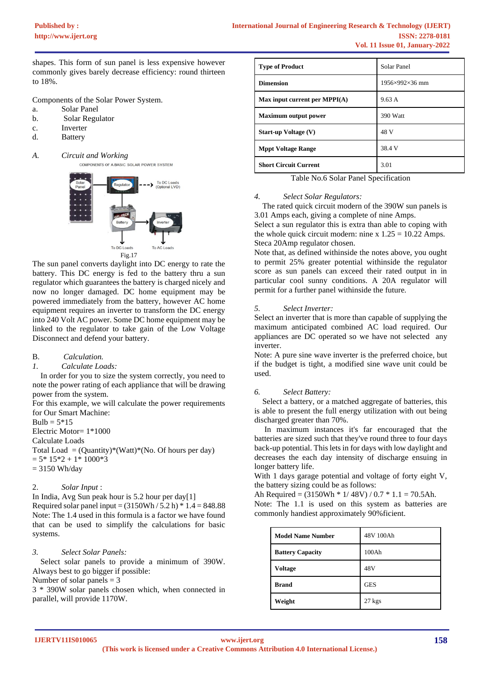shapes. This form of sun panel is less expensive however commonly gives barely decrease efficiency: round thirteen to 18%.

Components of the Solar Power System.

- a. Solar Panel
- b. Solar Regulator
- c. Inverter
- d. Battery
- *A. Circuit and Working* COMPONENTS OF A BASIC SOLAR POWER SYSTEM



The sun panel converts daylight into DC energy to rate the battery. This DC energy is fed to the battery thru a sun regulator which guarantees the battery is charged nicely and now no longer damaged. DC home equipment may be powered immediately from the battery, however AC home equipment requires an inverter to transform the DC energy into 240 Volt AC power. Some DC home equipment may be linked to the regulator to take gain of the Low Voltage Disconnect and defend your battery.

B. *Calculation.* 

### *1. Calculate Loads:*

 In order for you to size the system correctly, you need to note the power rating of each appliance that will be drawing power from the system.

For this example, we will calculate the power requirements for Our Smart Machine:

 $Bulb = 5*15$ 

Electric Motor= 1\*1000

Calculate Loads

Total Load =  $(Quantity)*(Watt)*(No. Of hours per day)$  $= 5*15*2 + 1*1000*3$ = 3150 Wh/day

## 2. *Solar Input* :

In India, Avg Sun peak hour is 5.2 hour per day[1] Required solar panel input =  $(3150Wh / 5.2 h) * 1.4 = 848.88$ 

Note: The 1.4 used in this formula is a factor we have found that can be used to simplify the calculations for basic systems.

## *3. Select Solar Panels:*

 Select solar panels to provide a minimum of 390W. Always best to go bigger if possible:

Number of solar panels = 3

3 \* 390W solar panels chosen which, when connected in parallel, will provide 1170W.

| <b>Type of Product</b>          | Solar Panel    |
|---------------------------------|----------------|
| <b>Dimension</b>                | 1956×992×36 mm |
| Max input current per $MPPI(A)$ | 9.63 A         |
| <b>Maximum output power</b>     | 390 Watt       |
| <b>Start-up Voltage (V)</b>     | 48 V           |
| <b>Mppt Voltage Range</b>       | 38.4 V         |
| <b>Short Circuit Current</b>    | 3.01           |

Table No.6 Solar Panel Specification

### *4. Select Solar Regulators:*

 The rated quick circuit modern of the 390W sun panels is 3.01 Amps each, giving a complete of nine Amps.

Select a sun regulator this is extra than able to coping with the whole quick circuit modern: nine x  $1.25 = 10.22$  Amps. Steca 20Amp regulator chosen.

Note that, as defined withinside the notes above, you ought to permit 25% greater potential withinside the regulator score as sun panels can exceed their rated output in in particular cool sunny conditions. A 20A regulator will permit for a further panel withinside the future.

### *5. Select Inverter:*

Select an inverter that is more than capable of supplying the maximum anticipated combined AC load required. Our appliances are DC operated so we have not selected any inverter.

Note: A pure sine wave inverter is the preferred choice, but if the budget is tight, a modified sine wave unit could be used.

### *6. Select Battery:*

 Select a battery, or a matched aggregate of batteries, this is able to present the full energy utilization with out being discharged greater than 70%.

 In maximum instances it's far encouraged that the batteries are sized such that they've round three to four days back-up potential. This lets in for days with low daylight and decreases the each day intensity of discharge ensuing in longer battery life.

With 1 days garage potential and voltage of forty eight V, the battery sizing could be as follows:

Ah Required =  $(3150Wh * 1/48V) / 0.7 * 1.1 = 70.5Ah$ . Note: The 1.1 is used on this system as batteries are commonly handiest approximately 90%ficient.

| <b>Model Name Number</b> | 48V 100Ah  |
|--------------------------|------------|
| <b>Battery Capacity</b>  | 100Ah      |
| <b>Voltage</b>           | 48V        |
| <b>Brand</b>             | <b>GES</b> |
| Weight                   | $27$ kgs   |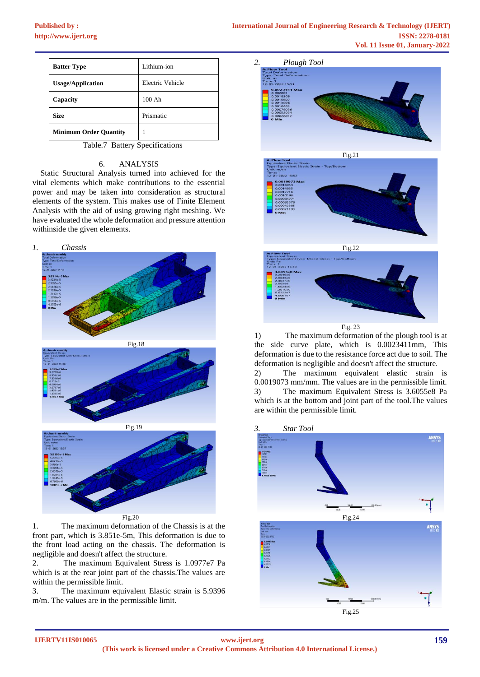| <b>Batter Type</b>            | Lithium-ion      |
|-------------------------------|------------------|
| <b>Usage/Application</b>      | Electric Vehicle |
| Capacity                      | $100$ Ah         |
| <b>Size</b>                   | Prismatic        |
| <b>Minimum Order Quantity</b> |                  |

Table.7 Battery Specifications

## 6. ANALYSIS

 Static Structural Analysis turned into achieved for the vital elements which make contributions to the essential power and may be taken into consideration as structural elements of the system. This makes use of Finite Element Analysis with the aid of using growing right meshing. We have evaluated the whole deformation and pressure attention withinside the given elements.



1. The maximum deformation of the Chassis is at the front part, which is 3.851e-5m, This deformation is due to the front load acting on the chassis. The deformation is negligible and doesn't affect the structure.

2. The maximum Equivalent Stress is 1.0977e7 Pa which is at the rear joint part of the chassis.The values are within the permissible limit.

3. The maximum equivalent Elastic strain is 5.9396 m/m. The values are in the permissible limit.



Fig. 23

1) The maximum deformation of the plough tool is at the side curve plate, which is 0.0023411mm, This deformation is due to the resistance force act due to soil. The deformation is negligible and doesn't affect the structure.

2) The maximum equivalent elastic strain is 0.0019073 mm/mm. The values are in the permissible limit. 3) The maximum Equivalent Stress is 3.6055e8 Pa which is at the bottom and joint part of the tool.The values are within the permissible limit.